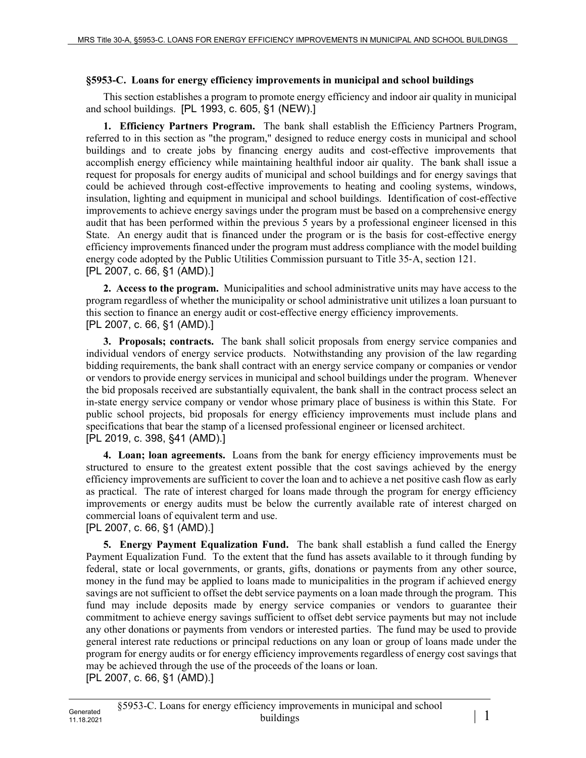## **§5953-C. Loans for energy efficiency improvements in municipal and school buildings**

This section establishes a program to promote energy efficiency and indoor air quality in municipal and school buildings. [PL 1993, c. 605, §1 (NEW).]

**1. Efficiency Partners Program.** The bank shall establish the Efficiency Partners Program, referred to in this section as "the program," designed to reduce energy costs in municipal and school buildings and to create jobs by financing energy audits and cost-effective improvements that accomplish energy efficiency while maintaining healthful indoor air quality. The bank shall issue a request for proposals for energy audits of municipal and school buildings and for energy savings that could be achieved through cost-effective improvements to heating and cooling systems, windows, insulation, lighting and equipment in municipal and school buildings. Identification of cost-effective improvements to achieve energy savings under the program must be based on a comprehensive energy audit that has been performed within the previous 5 years by a professional engineer licensed in this State. An energy audit that is financed under the program or is the basis for cost-effective energy efficiency improvements financed under the program must address compliance with the model building energy code adopted by the Public Utilities Commission pursuant to Title 35‑A, section 121. [PL 2007, c. 66, §1 (AMD).]

**2. Access to the program.** Municipalities and school administrative units may have access to the program regardless of whether the municipality or school administrative unit utilizes a loan pursuant to this section to finance an energy audit or cost-effective energy efficiency improvements. [PL 2007, c. 66, §1 (AMD).]

**3. Proposals; contracts.** The bank shall solicit proposals from energy service companies and individual vendors of energy service products. Notwithstanding any provision of the law regarding bidding requirements, the bank shall contract with an energy service company or companies or vendor or vendors to provide energy services in municipal and school buildings under the program. Whenever the bid proposals received are substantially equivalent, the bank shall in the contract process select an in-state energy service company or vendor whose primary place of business is within this State. For public school projects, bid proposals for energy efficiency improvements must include plans and specifications that bear the stamp of a licensed professional engineer or licensed architect. [PL 2019, c. 398, §41 (AMD).]

**4. Loan; loan agreements.** Loans from the bank for energy efficiency improvements must be structured to ensure to the greatest extent possible that the cost savings achieved by the energy efficiency improvements are sufficient to cover the loan and to achieve a net positive cash flow as early as practical. The rate of interest charged for loans made through the program for energy efficiency improvements or energy audits must be below the currently available rate of interest charged on commercial loans of equivalent term and use.

## [PL 2007, c. 66, §1 (AMD).]

**5. Energy Payment Equalization Fund.** The bank shall establish a fund called the Energy Payment Equalization Fund. To the extent that the fund has assets available to it through funding by federal, state or local governments, or grants, gifts, donations or payments from any other source, money in the fund may be applied to loans made to municipalities in the program if achieved energy savings are not sufficient to offset the debt service payments on a loan made through the program. This fund may include deposits made by energy service companies or vendors to guarantee their commitment to achieve energy savings sufficient to offset debt service payments but may not include any other donations or payments from vendors or interested parties. The fund may be used to provide general interest rate reductions or principal reductions on any loan or group of loans made under the program for energy audits or for energy efficiency improvements regardless of energy cost savings that may be achieved through the use of the proceeds of the loans or loan.

[PL 2007, c. 66, §1 (AMD).]